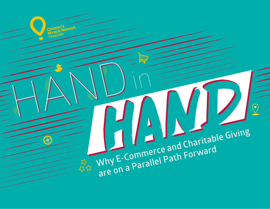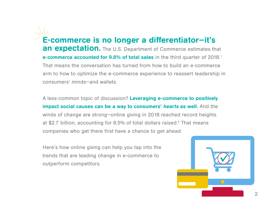E-commerce is no longer a differentiator—it's an expectation. The U.S. Department of Commerce estimates that e-commerce accounted for 9.8% of total sales in the third quarter of 2018.<sup>1</sup> That means the conversation has turned from how to build an e-commerce arm to how to optimize the e-commerce experience to reassert leadership in consumers' minds—and wallets.

A less-common topic of discussion? Leveraging e-commerce to positively impact social causes can be a way to consumers' hearts as well. And the winds of change are strong—online giving in 2018 reached record heights at \$2.7 billion, accounting for 8.5% of total dollars raised.<sup>2</sup> That means companies who get there first have a chance to get ahead.

Here's how online giving can help you tap into the trends that are leading change in e-commerce to outperform competitors.

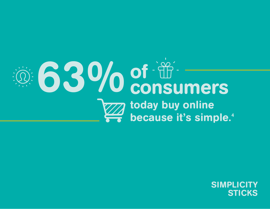

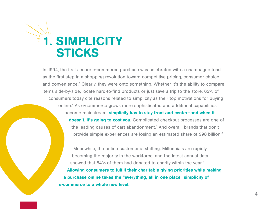

In 1994, the first secure e-commerce purchase was celebrated with a champagne toast as the first step in a shopping revolution toward competitive pricing, consumer choice and convenience.<sup>3</sup> Clearly, they were onto something. Whether it's the ability to compare items side-by-side, locate hard-to-find products or just save a trip to the store, 63% of consumers today cite reasons related to simplicity as their top motivations for buying online.4 As e-commerce grows more sophisticated and additional capabilities become mainstream, simplicity has to stay front and center-and when it doesn't, it's going to cost you. Complicated checkout processes are one of the leading causes of cart abandonment.5 And overall, brands that don't provide simple experiences are losing an estimated share of \$98 billion.6

Meanwhile, the online customer is shifting. Millennials are rapidly becoming the majority in the workforce, and the latest annual data showed that 84% of them had donated to charity within the year.<sup>7</sup> Allowing consumers to fulfill their charitable giving priorities while making a purchase online takes the "everything, all in one place" simplicity of e-commerce to a whole new level.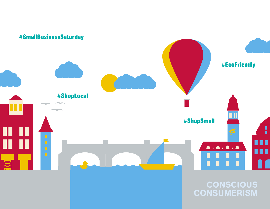

CONSUMERISM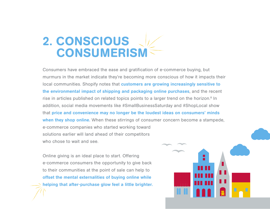### 2. CONSCIOUS CONSUMERISM

Consumers have embraced the ease and gratification of e-commerce buying, but murmurs in the market indicate they're becoming more conscious of how it impacts their local communities. Shopify notes that customers are growing increasingly sensitive to the environmental impact of shipping and packaging online purchases, and the recent rise in articles published on related topics points to a larger trend on the horizon.<sup>8</sup> In addition, social media movements like #SmallBusinessSaturday and #ShopLocal show that price and convenience may no longer be the loudest ideas on consumers' minds when they shop online. When these stirrings of consumer concern become a stampede, e-commerce companies who started working toward solutions earlier will land ahead of their competitors who chose to wait and see.

Online giving is an ideal place to start. Offering e-commerce consumers the opportunity to give back to their communities at the point of sale can help to offset the mental externalities of buying online while helping that after-purchase glow feel a little brighter.

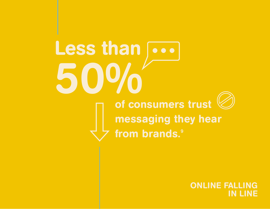Less than  $\overline{\cdots}$ 50% of consumers trust messaging they hear from brands.<sup>9</sup>

> 7 IN LINE ONLINE FALLING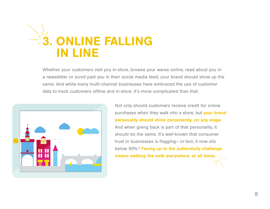

Whether your customers visit you in-store, browse your wares online, read about you in a newsletter or scroll past you in their social media feed, your brand should show up the same. And while many multi-channel businesses have embraced the use of customer data to track customers offline and in-store, it's more complicated than that.



Not only should customers receive credit for online purchases when they walk into a store, but your brand personality should shine consistently, on any stage. And when giving back is part of that personality, it should do the same. It's well-known that consumer trust in businesses is flagging— in fact, it now sits below 50%.<sup>9</sup> Facing up to the authenticity challenge means walking the walk everywhere, at all times.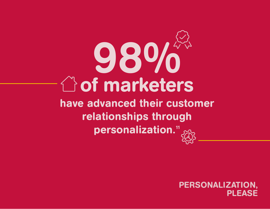## have advanced their customer relationships through personalization.<sup>11</sup> of marketers 98%

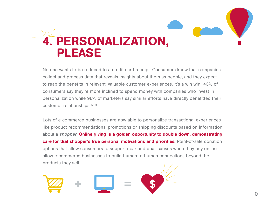

No one wants to be reduced to a credit card receipt. Consumers know that companies collect and process data that reveals insights about them as people, and they expect to reap the benefits in relevant, valuable customer experiences. It's a win-win—43% of consumers say they're more inclined to spend money with companies who invest in personalization while 98% of marketers say similar efforts have directly benefitted their customer relationships.10,11

Lots of e-commerce businesses are now able to personalize transactional experiences like product recommendations, promotions or shipping discounts based on information about a shopper. Online giving is a golden opportunity to double down, demonstrating care for that shopper's true personal motivations and priorities. Point-of-sale donation options that allow consumers to support near and dear causes when they buy online allow e-commerce businesses to build human-to-human connections beyond the products they sell.

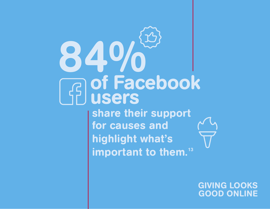# 49 of Facebook users

share their support for causes and highlight what's important to them.<sup>13</sup>

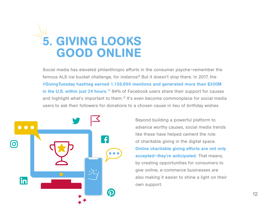

Social media has elevated philanthropic efforts in the consumer psyche—remember the famous ALS ice bucket challenge, for instance? But it doesn't stop there. In 2017, the #GivingTuesday hashtag earned 1,158,899 mentions and generated more than \$300M in the U.S. within just 24 hours.<sup>12</sup> 84% of Facebook users share their support for causes and highlight what's important to them.<sup>13</sup> It's even become commonplace for social media users to ask their followers for donations to a chosen cause in lieu of birthday wishes.



Beyond building a powerful platform to advance worthy causes, social media trends like these have helped cement the role of charitable giving in the digital space. Online charitable giving efforts are not only accepted—they're anticipated. That means, by creating opportunities for consumers to give online, e-commerce businesses are also making it easier to shine a light on their own support.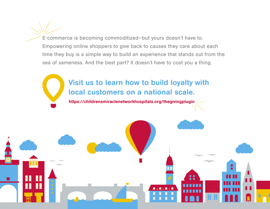E-commerce is becoming commoditized—but yours doesn't have to. Empowering online shoppers to give back to causes they care about each time they buy is a simple way to build an experience that stands out from the sea of sameness. And the best part? It doesn't have to cost you a thing.

### Visit us to learn how to build loyalty with local customers on a national scale.

[https://childrensmiraclenetworkhospitals.org/thegivingplugin](https://childrensmiraclenetworkhospitals.org/thegivingplugin/?utm_source=landingpage&utm_medium=listing&utm_campaign=cmn+1+|+prospecting&utm_content=trendsreport )

**A.A.A.A**